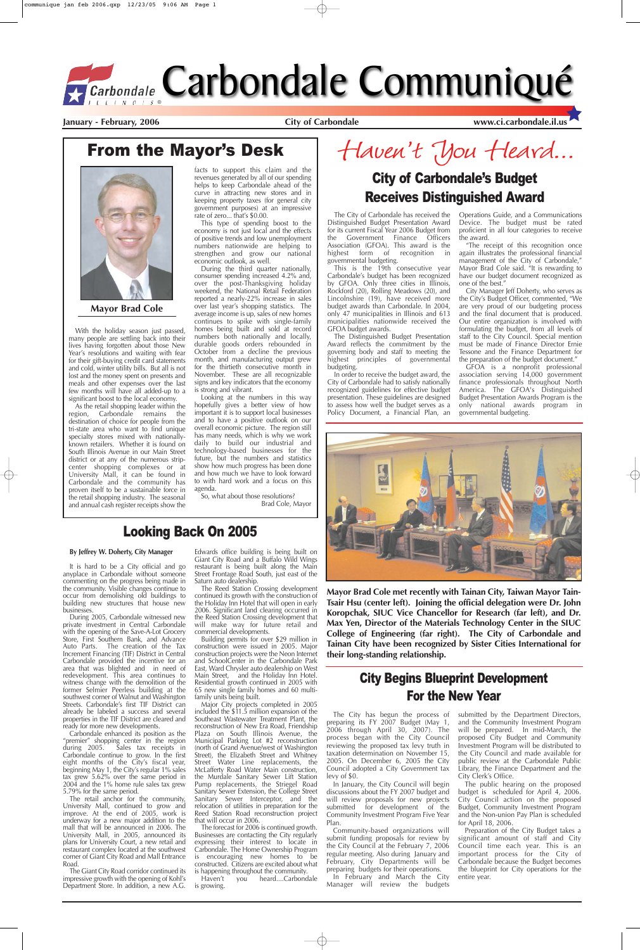The City of Carbondale has received the Distinguished Budget Presentation Award for its current Fiscal Year 2006 Budget from the Government Finance Officers Association (GFOA). This award is the highest form of recognition in highest form of governmental budgeting.

This is the 19th consecutive year Carbondale's budget has been recognized by GFOA. Only three cities in Illinois, Rockford (20), Rolling Meadows (20), and Lincolnshire (19), have received more budget awards than Carbondale. In 2004, only 47 municipalities in Illinois and 613 municipalities nationwide received the GFOA budget awards.

The Distinguished Budget Presentation Award reflects the commitment by the governing body and staff to meeting the highest principles of governmental budgeting.

In order to receive the budget award, the City of Carbondale had to satisfy nationally recognized guidelines for effective budget presentation. These guidelines are designed to assess how well the budget serves as a Policy Document, a Financial Plan, an

Operations Guide, and a Communications Device. The budget must be rated proficient in all four categories to receive the award.

"The receipt of this recognition once again illustrates the professional financial management of the City of Carbondale," Mayor Brad Cole said. "It is rewarding to have our budget document recognized as one of the best."

City Manager Jeff Doherty, who serves as the City's Budget Officer, commented, "We are very proud of our budgeting process and the final document that is produced. Our entire organization is involved with formulating the budget, from all levels of staff to the City Council. Special mention must be made of Finance Director Ernie Tessone and the Finance Department for the preparation of the budget document."

GFOA is a nonprofit professional association serving 14,000 government finance professionals throughout North America. The GFOA's Distinguished Budget Presentation Awards Program is the only national awards program in governmental budgeting.



With the holiday season just passed, many people are settling back into their lives having forgotten about those New Year's resolutions and waiting with fear for their gift-buying credit card statements and cold, winter utility bills. But all is not lost and the money spent on presents and meals and other expenses over the last few months will have all added-up to a significant boost to the local economy.

As the retail shopping leader within the region, Carbondale remains the destination of choice for people from the tri-state area who want to find unique specialty stores mixed with nationallyknown retailers. Whether it is found on South Illinois Avenue in our Main Street district or at any of the numerous stripcenter shopping complexes or at University Mall, it can be found in Carbondale and the community has proven itself to be a sustainable force in the retail shopping industry. The seasonal and annual cash register receipts show the

facts to support this claim and the revenues generated by all of our spending helps to keep Carbondale ahead of the curve in attracting new stores and in keeping property taxes (for general city government purposes) at an impressive rate of zero... that's \$0.00.

This type of spending boost to the economy is not just local and the effects of positive trends and low unemployment numbers nationwide are helping to strengthen and grow our national economic outlook, as well.

During the third quarter nationally, consumer spending increased 4.2% and, over the post-Thanksgiving holiday weekend, the National Retail Federation reported a nearly-22% increase in sales over last year's shopping statistics. The average income is up, sales of new homes continues to spike with single-family homes being built and sold at record numbers both nationally and locally, durable goods orders rebounded in October from a decline the previous month, and manufacturing output grew for the thirtieth consecutive month in November. These are all recognizable signs and key indicators that the economy is strong and vibrant.

Major City projects completed in 2005 included the \$11.5 million expansion of the Southeast Wastewater Treatment Plant, the reconstruction of New Era Road, Friendship Plaza on South Illinois Avenue, the Municipal Parking Lot #2 reconstruction (north of Grand Avenue/west of Washington Street), the Elizabeth Street and Whitney Street Water Line replacements, the McLafferty Road Water Main construction, the Murdale Sanitary Sewer Lift Station Pump replacements, the Striegel Road Sanitary Sewer Extension, the College Street Sanitary Sewer Interceptor, and the relocation of utilities in preparation for the Reed Station Road reconstruction project that will occur in 2006.

The forecast for 2006 is continued growth. Businesses are contacting the City regularly expressing their interest to locate in Carbondale. The Home Ownership Program is encouraging new homes to be constructed. Citizens are excited about what is happening throughout the community.<br>Haven't you heard....Carbond

Looking at the numbers in this way hopefully gives a better view of how important it is to support local businesses and to have a positive outlook on our overall economic picture. The region still has many needs, which is why we work daily to build our industrial and technology-based businesses for the future, but the numbers and statistics show how much progress has been done and how much we have to look forward to with hard work and a focus on this agenda.

you heard....Carbondale is growing.

So, what about those resolutions? Brad Cole, Mayor

## Haven't You Heard...

**January - February, 2006 City of Carbondale www.ci.carbondale.il.us**

## From the Mayor's Desk



**Mayor Brad Cole**

## City of Carbondale's Budget Receives Distinguished Award

**Mayor Brad Cole met recently with Tainan City, Taiwan Mayor Tain-Tsair Hsu (center left). Joining the official delegation were Dr. John Koropchak, SIUC Vice Chancellor for Research (far left), and Dr. Max Yen, Director of the Materials Technology Center in the SIUC College of Engineering (far right). The City of Carbondale and Tainan City have been recognized by Sister Cities International for their long-standing relationship.**

#### **By Jeffrey W. Doherty, City Manager**

Preparation of the City Budget takes a significant amount of staff and City Council time each year. This is an important process for the City of Carbondale because the Budget becomes the blueprint for City operations for the entire year.

It is hard to be a City official and go anyplace in Carbondale without someone commenting on the progress being made in the community. Visible changes continue to occur from demolishing old buildings to building new structures that house new businesses.

During 2005, Carbondale witnessed new private investment in Central Carbondale with the opening of the Save-A-Lot Grocery Store, First Southern Bank, and Advance Auto Parts. The creation of the Tax Increment Financing (TIF) District in Central Carbondale provided the incentive for an area that was blighted and in need of redevelopment. This area continues to witness change with the demolition of the former Selmier Peerless building at the southwest corner of Walnut and Washington Streets. Carbondale's first TIF District can already be labeled a success and several properties in the TIF District are cleared and ready for more new developments. Carbondale enhanced its position as the "premier" shopping center in the region during 2005. Sales tax receipts in Carbondale continue to grow. In the first eight months of the City's fiscal year, beginning May 1, the City's regular 1% sales tax grew 5.62% over the same period in  $2004$  and the 1% home rule sales tax grew 5.79% for the same period. The retail anchor for the community, University Mall, continued to grow and improve. At the end of 2005, work is underway for a new major addition to the mall that will be announced in 2006. The University Mall, in 2005, announced its plans for University Court, a new retail and restaurant complex located at the southwest corner of Giant City Road and Mall Entrance Road.

The Giant City Road corridor continued its impressive growth with the opening of Kohl's Department Store. In addition, a new A.G.

Edwards office building is being built on Giant City Road and a Buffalo Wild Wings restaurant is being built along the Main Street Frontage Road South, just east of the Saturn auto dealership.

The Reed Station Crossing development continued its growth with the construction of the Holiday Inn Hotel that will open in early 2006. Significant land clearing occurred in the Reed Station Crossing development that will make way for future retail and commercial developments.

Building permits for over \$29 million in construction were issued in 2005. Major construction projects were the Neon Internet and SchoolCenter in the Carbondale Park

East, Ward Chrysler auto dealership on West Main Street, and the Holiday Inn Hotel. Residential growth continued in 2005 with 65 new single family homes and 60 multifamily units being built.

#### Looking Back On 2005

The City has begun the process of preparing its FY 2007 Budget (May 1, 2006 through April 30, 2007). The process began with the City Council reviewing the proposed tax levy truth in taxation determination on November 15, 2005. On December 6, 2005 the City Council adopted a City Government tax levy of \$0.

In January, the City Council will begin discussions about the FY 2007 budget and will review proposals for new projects submitted for development of the Community Investment Program Five Year Plan.

Community-based organizations will submit funding proposals for review by the City Council at the February 7, 2006 regular meeting. Also during January and February, City Departments will be preparing budgets for their operations.

In February and March the City Manager will review the budgets

submitted by the Department Directors, and the Community Investment Program will be prepared. In mid-March, the proposed City Budget and Community Investment Program will be distributed to the City Council and made available for public review at the Carbondale Public Library, the Finance Department and the City Clerk's Office.

The public hearing on the proposed budget is scheduled for April 4, 2006. City Council action on the proposed Budget, Community Investment Program and the Non-union Pay Plan is scheduled for April 18, 2006.

## City Begins Blueprint Development For the New Year

# *Garbondale* Carbondale Communiqué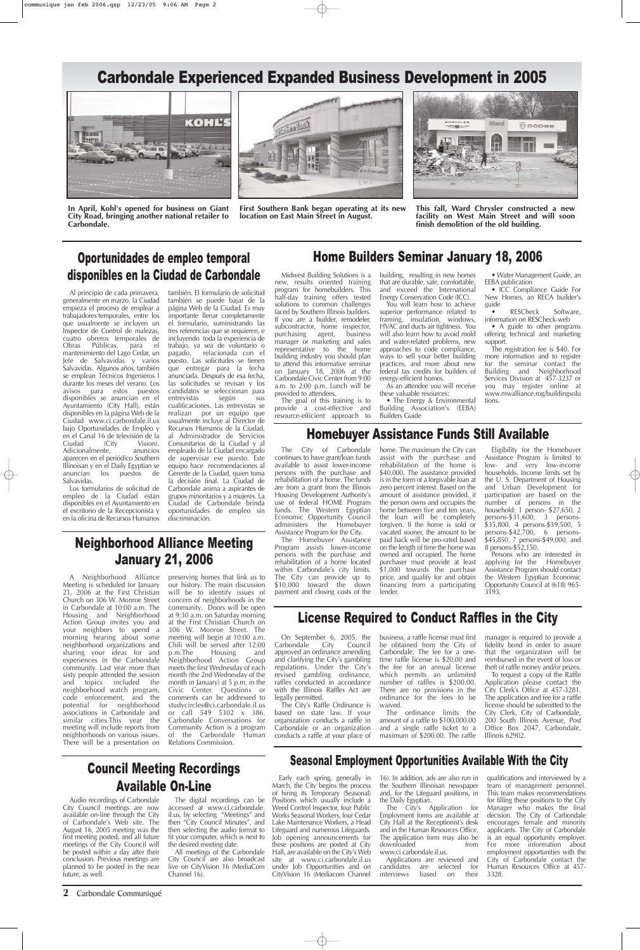**2** Carbondale Communiqué

#### Oportunidades de empleo temporal disponibles en la Ciudad de Carbondale

#### Carbondale Experienced Expanded Business Development in 2005



**In April, Kohl's opened for business on Giant City Road, bringing another national retailer to Carbondale.**



**This fall, Ward Chrysler constructed a new facility on West Main Street and will soon finish demolition of the old building.**



**First Southern Bank began operating at its new location on East Main Street in August.**

Al principio de cada primavera, generalmente en marzo, la Ciudad empieza el proceso de emplear a trabajadores temporales, entre los que usualmente se incluyen un Inspector de Control de malezas, cuatro obreros temporales de<br>Obras Públicas, para el Obras Públicas, para el mantenimiento del Lago Cedar, un Jefe de Salvavidas y varios Salvavidas. Algunos años, también se emplean Técnicos Ingenieros I durante los meses del verano. Los avisos para estos puestos disponibles se anuncian en el Ayuntamiento (City Hall), están disponibles en la página Web de la Ciudad www.ci.carbondale.il.us bajo Oportunidades de Empleo y en el Canal 16 de televisión de la (City Vision).<br>
te, anuncios Adicionalmente, aparecen en el periódico Southern Illinoisan y en el Daily Egyptian se anuncian los puestos de Salvavidas.

Los formularios de solicitud de empleo de la Ciudad están disponibles en el Ayuntamiento en el escritorio de la Recepcionista y en la oficina de Recursos Humanos

• The Energy & Environmental Building Association's (EEBA) Builders Guide

también. El formulario de solicitud también se puede bajar de la página Web de la Ciudad. Es muy importante llenar completamente el formulario, suministrando las tres referencias que se requieren, e incluyendo toda la experiencia de trabajo, ya sea de voluntario o pagado, relacionada con el puesto. Las solicitudes se tienen que entregar para la fecha anunciada. Después de esa fecha, las solicitudes se revisan y los candidatos se seleccionan para entrevistas según sus cualificaciones. Las entrevistas se realizan por un equipo que usualmente incluye al Director de Recursos Humanos de la Ciudad, al Administrador de Servicios Comunitarios de la Ciudad y al empleado de la Ciudad encargado de supervisar ese puesto. Este equipo hace recomendaciones al Gerente de la Ciudad, quien toma la decisión final. La Ciudad de Carbondale anima a aspirantes de grupos minoritarios y a mujeres. La Ciudad de Carbondale brinda oportunidades de empleo sin discriminación.

RESCheck Software, information on RESCheck-web

#### Home Builders Seminar January 18, 2006

Midwest Building Solutions is a new, results oriented training program for homebuilders. This half-day training offers tested solutions to common challenges faced by Southern Illinois builders. If you are a builder, remodeler, subcontractor, home inspector, purchasing agent, business manager or marketing and sales representative to the home building industry you should plan to attend this informative seminar on January 18, 2006 at the Carbondale Civic Center from 9:00 a.m. to 2:00 p.m. Lunch will be

provided to attendees.

The goal of this training is to provide a cost-effective and resource-efficient approach to building, resulting in new homes that are durable, safe, comfortable, and exceed the International Energy Conservation Code (ICC).

You will learn how to achieve superior performance related to framing, insulation, windows, HVAC and ducts air tightness. You will also learn how to avoid mold and water-related problems, new approaches to code compliance, ways to sell your better building practices, and more about new federal tax credits for builders of energy-efficient homes.

As an attendee you will receive these valuable resources:

• Water Management Guide, an EEBA publication

• ICC Compliance Guide For New Homes, an RECA builder's guide

• A guide to other programs offering technical and marketing support.

The registration fee is \$40. For more information and to register for the seminar contact the Building and Neighborhood Services Division at 457-3237 or you may register online at www.mwalliance.rog/buildingsolu tions.

On September 6, 2005, the<br>arbondale City Council Carbondale approved an ordinance amending

#### Homebuyer Assistance Funds Still Available

and clarifying the City's gambling time raffle license is \$20.00 and business, a raffle license must first Council be obtained from the City of Carbondale. The fee for a one-

The City of Carbondale continues to have grant/loan funds available to assist lower-income persons with the purchase and rehabilitation of a home. The funds are from a grant from the Illinois Housing Development Authority's use of federal HOME Program funds. The Western Egyptian Economic Opportunity Council administers the Homebuyer Assistance Program for the City.

The Homebuyer Assistance Program assists lower-income persons with the purchase and rehabilitation of a home located within Carbondale's city limits. The City can provide up to \$10,000 toward the down payment and closing costs of the

home. The maximum the City can assist with the purchase and rehabilitation of the home is \$40,000. The assistance provided is in the form of a forgivable loan at zero percent interest. Based on the amount of assistance provided, if the person owns and occupies the home between five and ten years, the loan will be completely forgiven. If the home is sold or vacated sooner, the amount to be paid back will be pro-rated based on the length of time the home was owned and occupied. The home purchaser must provide at least \$1,000 towards the purchase price, and qualify for and obtain financing from a participating lender.

Applications are reviewed and candidates are selected for<br>interviews based on their interviews

Eligibility for the Homebuyer Assistance Program is limited to low- and very low-income households. Income limits set by the U. S. Department of Housing and Urban Development for participation are based on the number of persons in the household: 1 person- \$27,650, 2 persons-\$31,600, 3 persons- \$35,800, 4 persons-\$39,500, 5 persons-\$42,700, 6 persons- \$45,850, 7 persons-\$49,000, and 8 persons-\$52,150.

Persons who are interested in applying for the Homebuyer Assistance Program should contact the Western Egyptian Economic Opportunity Council at (618) 965- 3193.

## Council Meeting Recordings Available On-Line

Audio recordings of Carbondale City Council meetings are now available on-line through the City of Carbondale's Web site. The August 16, 2005 meeting was the first meeting posted, and all future meetings of the City Council will be posted within a day after their conclusion. Previous meetings are planned to be posted in the near future, as well.

The digital recordings can be accessed at www.ci.carbondale. il.us, by selecting "Meetings" and then "City Council Minutes", and then selecting the audio format to fit your computer, which is next to the desired meeting date.

All meetings of the Carbondale City Council are also broadcast live on CityVision 16 (MediaCom Channel 16).

A Neighborhood Alliance Meeting is scheduled for January 21, 2006 at the First Christian Church on 306 W. Monroe Street in Carbondale at 10:00 a.m. The Housing and Neighborhood Action Group invites you and your neighbors to spend a morning hearing about some neighborhood organizations and sharing your ideas for and experiences in the Carbondale community. Last year more than sixty people attended the session and topics included the neighborhood watch program, code enforcement, and the potential for neighborhood associations in Carbondale and similar cities.This year the meeting will include reports from neighborhoods on various issues. There will be a presentation on

preserving homes that link us to our history. The main discussion will be to identify issues of concern of neighborhoods in the community. Doors will be open at 9:30 a.m. on Saturday morning at the First Christian Church on 306 W. Monroe Street. The meeting will begin at 10:00 a.m. Chili will be served after 12:00<br>p.m.The Housing and p.m.The Housing and Neighborhood Action Group

meets the first Wednesday of each month (the 2nd Wednesday of the month in January) at 5 p.m. in the Civic Center. Questions or comments can be addressed to studycircles@ci.carbondale.il.us or call 549 5302 x 386. Carbondale Conversations for Community Action is a program of the Carbondale Human Relations Commission.

## Neighborhood Alliance Meeting January 21, 2006

#### License Required to Conduct Raffles in the City

regulations. Under the City's revised gambling ordinance, raffles conducted in accordance with the Illinois Raffles Act are legally permitted.

The City's Raffle Ordinance is based on state law. If your organization conducts a raffle in Carbondale or an organization conducts a raffle at your place of the fee for an annual license which permits an unlimited number of raffles is \$200.00. There are no provisions in the ordinance for the fees to be waived.

The ordinance limits the amount of a raffle to \$100,000.00 and a single raffle ticket to a maximum of \$200.00. The raffle

manager is required to provide a fidelity bond in order to assure that the organization will be reimbursed in the event of loss or

theft of raffle money and/or prizes.

To request a copy of the Raffle Application please contact the City Clerk's Office at 457-3281. The application and fee for a raffle license should be submitted to the City Clerk, City of Carbondale, 200 South Illinois Avenue, Post Office Box 2047, Carbondale, Illinois 62902.

#### Seasonal Employment Opportunities Available With the City

Early each spring, generally in March, the City begins the process of hiring its Temporary (Seasonal) Positions which usually include a Weed Control Inspector, four Public Works Seasonal Workers, four Cedar Lake Maintenance Workers, a Head Lifeguard and numerous Lifeguards. Job opening announcements for these positions are posted at City Hall, are available on the City's Web site at www.ci.carbondale.il.us under Job Opportunities and on CityVision 16 (Mediacom Channel

16). In addition, ads are also run in the Southern Illinoisan newspaper and, for the Lifeguard positions, in the Daily Egyptian.

The City's Application for Employment forms are available at City Hall at the Receptionist's desk and in the Human Resources Office. The application form may also be downloaded from www.ci.carbondale.il.us.

qualifications and interviewed by a team of management personnel. This team makes recommendations for filling these positions to the City Manager who makes the final decision. The City of Carbondale encourages female and minority applicants. The City of Carbondale is an equal opportunity employer. For more information about employment opportunities with the City of Carbondale contact the Human Resources Office at 457- 3328.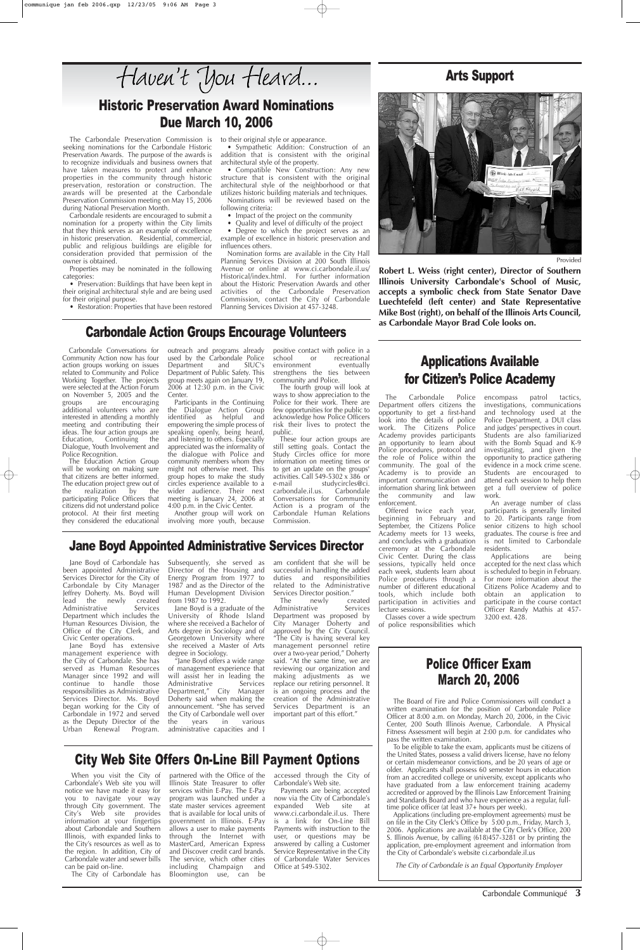Carbondale Communiqué **3**

The Carbondale Preservation Commission is seeking nominations for the Carbondale Historic Preservation Awards. The purpose of the awards is to recognize individuals and business owners that have taken measures to protect and enhance properties in the community through historic preservation, restoration or construction. The awards will be presented at the Carbondale Preservation Commission meeting on May 15, 2006 during National Preservation Month.

Carbondale residents are encouraged to submit a nomination for a property within the City limits that they think serves as an example of excellence in historic preservation. Residential, commercial, public and religious buildings are eligible for consideration provided that permission of the owner is obtained.

Properties may be nominated in the following categories:

• Preservation: Buildings that have been kept in their original architectural style and are being used for their original purpose.

• Restoration: Properties that have been restored

to their original style or appearance.

• Sympathetic Addition: Construction of an addition that is consistent with the original architectural style of the property.

• Compatible New Construction: Any new structure that is consistent with the original architectural style of the neighborhood or that utilizes historic building materials and techniques.

Nominations will be reviewed based on the following criteria:

• Impact of the project on the community

• Quality and level of difficulty of the project • Degree to which the project serves as an example of excellence in historic preservation and influences others.

Nomination forms are available in the City Hall Planning Services Division at 200 South Illinois Avenue or online at www.ci.carbondale.il.us/ Historical/index.html. For further information about the Historic Preservation Awards and other activities of the Carbondale Preservation Commission, contact the City of Carbondale Planning Services Division at 457-3248.

#### Historic Preservation Award Nominations Due March 10, 2006

#### Police Officer Exam

## March 20, 2006

The Board of Fire and Police Commissioners will conduct a written examination for the position of Carbondale Police Officer at 8:00 a.m. on Monday, March 20, 2006, in the Civic Center, 200 South Illinois Avenue, Carbondale. A Physical Fitness Assessment will begin at 2:00 p.m. for candidates who pass the written examination.

To be eligible to take the exam, applicants must be citizens of the United States, possess a valid drivers license, have no felony or certain misdemeanor convictions, and be 20 years of age or older. Applicants shall possess 60 semester hours in education from an accredited college or university, except applicants who have graduated from a law enforcement training academy accredited or approved by the Illinois Law Enforcement Training and Standards Board and who have experience as a regular, fulltime police officer (at least 37+ hours per week).

am confident that she will be successful in handling the added duties and responsibilities related to the Administrative Services Director position."<br>The newly cre

> Applications (including pre-employment agreements) must be on file in the City Clerk's Office by 5:00 p.m., Friday, March 3, 2006. Applications are available at the City Clerk's Office, 200 S. Illinois Avenue, by calling (618)457-3281 or by printing the application, pre-employment agreement and information from the City of Carbondale's website ci.carbondale.il.us

The newly created<br>dministrative Services Administrative Department was proposed by City Manager Doherty and approved by the City Council. "The City is having several key management personnel retire over a two-year period," Doherty said. "At the same time, we are reviewing our organization and making adjustments as we replace our retiring personnel. It is an ongoing process and the creation of the Administrative Services Department is an important part of this effort."

The City of Carbondale is an Equal Opportunity Employer

When you visit the City of Carbondale's Web site you will notice we have made it easy for you to navigate your way through City government. The City's Web site provides information at your fingertips about Carbondale and Southern Illinois, with expanded links to the City's resources as well as to the region. In addition, City of Carbondale water and sewer bills can be paid on-line.

The City of Carbondale has

partnered with the Office of the Illinois State Treasurer to offer services within E-Pay. The E-Pay program was launched under a state master services agreement that is available for local units of government in Illinois. E-Pay allows a user to make payments through the Internet with MasterCard, American Express and Discover credit card brands. The service, which other cities including Champaign and Bloomington use, can be

accessed through the City of Carbondale's Web site.

Payments are being accepted now via the City of Carbondale's<br>expanded Web site at  $expanded$  Web www.ci.carbondale.il.us. There is a link for On-Line Bill Payments with instruction to the user, or questions may be answered by calling a Customer Service Representative in the City of Carbondale Water Services Office at 549-5302.

outreach and programs already used by the Carbondale Police Department and SIUC's Department of Public Safety. This group meets again on January 19, 2006 at 12:30 p.m. in the Civic **Center** 

#### City Web Site Offers On-Line Bill Payment Options

Jane Boyd of Carbondale has been appointed Administrative Services Director for the City of Carbondale by City Manager Jeffrey Doherty. Ms. Boyd will lead the newly created Administrative Services Department which includes the Human Resources Division, the Office of the City Clerk, and Civic Center operations.

positive contact with police in a<br>school or recreational or recreational<br>at eventually environment strengthens the ties between community and Police.

Jane Boyd has extensive management experience with the City of Carbondale. She has served as Human Resources Manager since 1992 and will continue to handle those responsibilities as Administrative Services Director. Ms. Boyd began working for the City of Carbondale in 1972 and served as the Deputy Director of the Urban Renewal Program. Subsequently, she served as Director of the Housing and Energy Program from 1977 to 1987 and as the Director of the Human Development Division from 1987 to 1992.

Jane Boyd is a graduate of the University of Rhode Island where she received a Bachelor of Arts degree in Sociology and of Georgetown University where she received a Master of Arts degree in Sociology.

"Jane Boyd offers a wide range

of management experience that will assist her in leading the<br>Administrative Services Administrative Department," City Manager Doherty said when making the announcement. "She has served the City of Carbondale well over the years in various administrative capacities and I

#### Jane Boyd Appointed Administrative Services Director

The Carbondale Police Department offers citizens the opportunity to get a first-hand look into the details of police work. The Citizens Police Academy provides participants an opportunity to learn about Police procedures, protocol and the role of Police within the community. The goal of the Academy is to provide an important communication and information sharing link between the community and law enforcement.

Offered twice each year, beginning in February and September, the Citizens Police Academy meets for 13 weeks, and concludes with a graduation ceremony at the Carbondale Civic Center. During the class sessions, typically held once each week, students learn about Police procedures through a number of different educational tools, which include both participation in activities and lecture sessions.

Classes cover a wide spectrum of police responsibilities which

encompass patrol tactics, investigations, communications and technology used at the Police Department, a DUI class and judges' perspectives in court. Students are also familiarized with the Bomb Squad and K-9 investigating, and given the opportunity to practice gathering evidence in a mock crime scene. Students are encouraged to attend each session to help them get a full overview of police work.

An average number of class participants is generally limited to 20. Participants range from senior citizens to high school graduates. The course is free and is not limited to Carbondale residents.

Applications are being accepted for the next class which is scheduled to begin in February. For more information about the Citizens Police Academy and to obtain an application to participate in the course contact Officer Randy Mathis at 457- 3200 ext. 428.

#### Applications Available for Citizen's Police Academy

Carbondale Conversations for Community Action now has four action groups working on issues related to Community and Police Working Together. The projects were selected at the Action Forum on November 5, 2005 and the groups are encouraging groups are encouraging additional volunteers who are interested in attending a monthly meeting and contributing their ideas. The four action groups are<br>Education, Continuing the Continuing the Dialogue, Youth Involvement and Police Recognition.

The Education Action Group will be working on making sure that citizens are better informed. The education project grew out of the realization by the participating Police Officers that citizens did not understand police protocol. At their first meeting they considered the educational

Participants in the Continuing the Dialogue Action Group identified as helpful and empowering the simple process of speaking openly, being heard, and listening to others. Especially appreciated was the informality of the dialogue with Police and community members whom they might not otherwise meet. This group hopes to make the study circles experience available to a wider audience. Their next meeting is January 24, 2006 at 4:00 p.m. in the Civic Center.

Another group will work on involving more youth, because

The fourth group will look at ways to show appreciation to the Police for their work. There are few opportunities for the public to acknowledge how Police Officers risk their lives to protect the public.

These four action groups are still setting goals. Contact the Study Circles office for more information on meeting times or to get an update on the groups' activities. Call 549-5302 x 386 or<br>e-mail studycircles@ci. studycircles@ci.<br>
E-mail studycircles. carbondale.il.us. Conversations for Community Action is a program of the Carbondale Human Relations Commission.

#### Carbondale Action Groups Encourage Volunteers

**Robert L. Weiss (right center), Director of Southern Illinois University Carbondale's School of Music, accepts a symbolic check from State Senator Dave Luechtefeld (left center) and State Representative Mike Bost (right), on behalf of the Illinois Arts Council, as Carbondale Mayor Brad Cole looks on.**

#### Arts Support



Provided